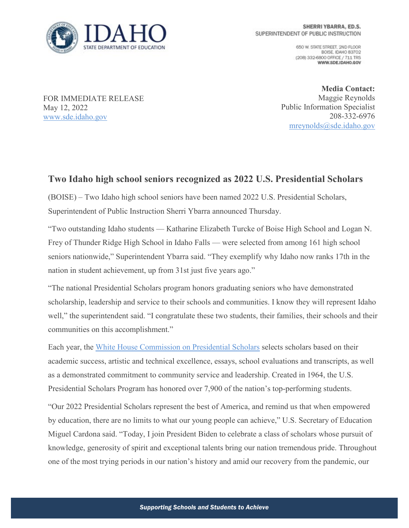

650 W. STATE STREET, 2ND FLOOR BOISE, IDAHO 83702 (208) 332-6800 OFFICE / 711 TRS WWW.SDE.IDAHO.GOV

FOR IMMEDIATE RELEASE May 12, 2022 [www.sde.idaho.gov](http://www.sde.idaho.gov/)

**Media Contact:** Maggie Reynolds Public Information Specialist 208-332-6976 [mreynolds@sde.idaho.gov](mailto:mreynolds@sde.idaho.gov)

## **Two Idaho high school seniors recognized as 2022 U.S. Presidential Scholars**

(BOISE) – Two Idaho high school seniors have been named 2022 U.S. Presidential Scholars, Superintendent of Public Instruction Sherri Ybarra announced Thursday.

"Two outstanding Idaho students — Katharine Elizabeth Turcke of Boise High School and Logan N. Frey of Thunder Ridge High School in Idaho Falls — were selected from among 161 high school seniors nationwide," Superintendent Ybarra said. "They exemplify why Idaho now ranks 17th in the nation in student achievement, up from 31st just five years ago."

"The national Presidential Scholars program honors graduating seniors who have demonstrated scholarship, leadership and service to their schools and communities. I know they will represent Idaho well," the superintendent said. "I congratulate these two students, their families, their schools and their communities on this accomplishment."

Each year, the [White House Commission on Presidential Scholars](https://protect-us.mimecast.com/s/_GlACL9z1JCYApxpIBJ4sO?domain=www2.ed.gov) selects scholars based on their academic success, artistic and technical excellence, essays, school evaluations and transcripts, as well as a demonstrated commitment to community service and leadership. Created in 1964, the U.S. Presidential Scholars Program has honored over 7,900 of the nation's top-performing students.

"Our 2022 Presidential Scholars represent the best of America, and remind us that when empowered by education, there are no limits to what our young people can achieve," U.S. Secretary of Education Miguel Cardona said. "Today, I join President Biden to celebrate a class of scholars whose pursuit of knowledge, generosity of spirit and exceptional talents bring our nation tremendous pride. Throughout one of the most trying periods in our nation's history and amid our recovery from the pandemic, our